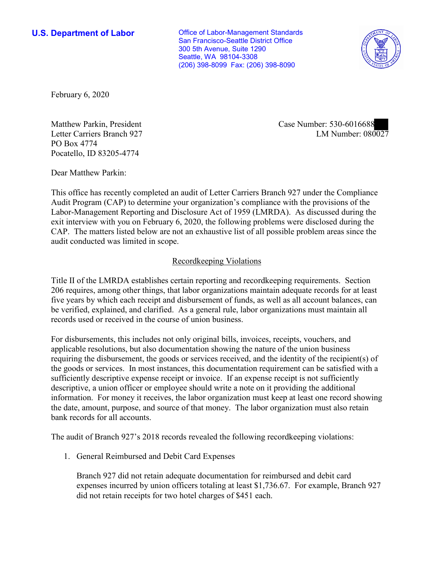**U.S. Department of Labor Conservative Conservative Conservative Conservative U.S.** Department of Labor San Francisco-Seattle District Office 300 5th Avenue, Suite 1290 Seattle, WA 98104-3308 (206) 398-8099 Fax: (206) 398-8090



February 6, 2020

Letter Carriers Branch 927 PO Box 4774 Pocatello, ID 83205-4774

LM Number:  $080027$ Matthew Parkin, President Case Number: 530-6016688

Dear Matthew Parkin:

 This office has recently completed an audit of Letter Carriers Branch 927 under the Compliance Audit Program (CAP) to determine your organization's compliance with the provisions of the Labor-Management Reporting and Disclosure Act of 1959 (LMRDA). As discussed during the exit interview with you on February 6, 2020, the following problems were disclosed during the CAP. The matters listed below are not an exhaustive list of all possible problem areas since the audit conducted was limited in scope.

## Recordkeeping Violations

 Title II of the LMRDA establishes certain reporting and recordkeeping requirements. Section 206 requires, among other things, that labor organizations maintain adequate records for at least five years by which each receipt and disbursement of funds, as well as all account balances, can be verified, explained, and clarified. As a general rule, labor organizations must maintain all records used or received in the course of union business.

For disbursements, this includes not only original bills, invoices, receipts, vouchers, and applicable resolutions, but also documentation showing the nature of the union business requiring the disbursement, the goods or services received, and the identity of the recipient(s) of the goods or services. In most instances, this documentation requirement can be satisfied with a sufficiently descriptive expense receipt or invoice. If an expense receipt is not sufficiently descriptive, a union officer or employee should write a note on it providing the additional information. For money it receives, the labor organization must keep at least one record showing the date, amount, purpose, and source of that money. The labor organization must also retain bank records for all accounts.

The audit of Branch 927's 2018 records revealed the following recordkeeping violations: 1. General Reimbursed and Debit Card Expenses

Branch 927 did not retain adequate documentation for reimbursed and debit card expenses incurred by union officers totaling at least \$[1,736.67.](https://1,736.67) For example, Branch 927 did not retain receipts for two hotel charges of \$451 each.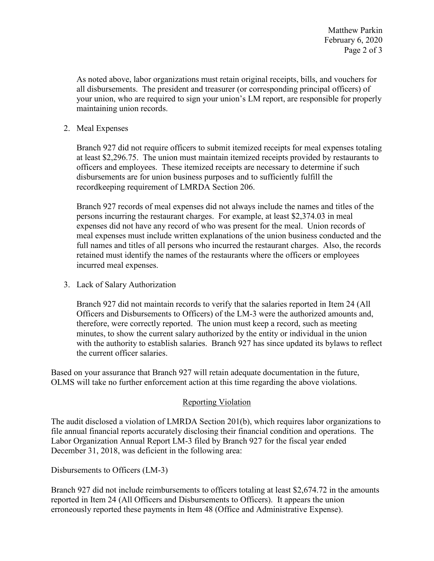all disbursements. The president and treasurer (or corresponding principal officers) of As noted above, labor organizations must retain original receipts, bills, and vouchers for your union, who are required to sign your union's LM report, are responsible for properly maintaining union records.

2. Meal Expenses

 Branch 927 did not require officers to submit itemized receipts for meal expenses totaling at least \$[2,296.75.](https://2,296.75) The union must maintain itemized receipts provided by restaurants to disbursements are for union business purposes and to sufficiently fulfill the recordkeeping requirement of LMRDA Section 206. officers and employees. These itemized receipts are necessary to determine if such

recordkeeping requirement of LMRDA Section 206.<br>Branch 927 records of meal expenses did not always include the names and titles of the persons incurring the restaurant charges. For example, at least [\\$2,374.03](https://2,374.03) in meal retained must identify the names of the restaurants where the officers or employees incurred meal expenses. expenses did not have any record of who was present for the meal. Union records of meal expenses must include written explanations of the union business conducted and the full names and titles of all persons who incurred the restaurant charges. Also, the records

3. Lack of Salary Authorization

 Branch 927 did not maintain records to verify that the salaries reported in Item 24 (All Officers and Disbursements to Officers) of the LM-3 were the authorized amounts and, therefore, were correctly reported. The union must keep a record, such as meeting with the authority to establish salaries. Branch 927 has since updated its bylaws to reflect minutes, to show the current salary authorized by the entity or individual in the union the current officer salaries.

 Based on your assurance that Branch 927 will retain adequate documentation in the future, OLMS will take no further enforcement action at this time regarding the above violations.

## Reporting Violation

 Labor Organization Annual Report LM-3 filed by Branch 927 for the fiscal year ended The audit disclosed a violation of LMRDA Section 201(b), which requires labor organizations to file annual financial reports accurately disclosing their financial condition and operations. The December 31, 2018, was deficient in the following area:

Disbursements to Officers (LM-3)

 Branch 927 did not include reimbursements to officers totaling at least \$[2,674.72](https://2,674.72) in the amounts reported in Item 24 (All Officers and Disbursements to Officers). It appears the union erroneously reported these payments in Item 48 (Office and Administrative Expense).